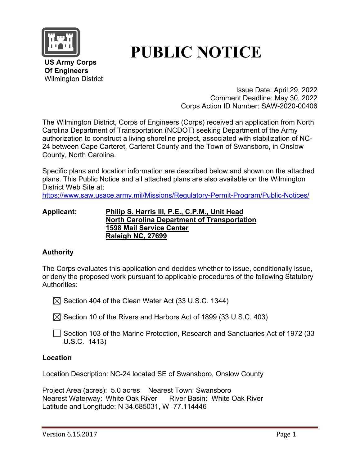

# **PUBLIC NOTICE**

 **US Army Corps Of Engineers** Wilmington District

> Issue Date: April 29, 2022 Comment Deadline: May 30, 2022 Corps Action ID Number: SAW-2020-00406

The Wilmington District, Corps of Engineers (Corps) received an application from North Carolina Department of Transportation (NCDOT) seeking Department of the Army authorization to construct a living shoreline project, associated with stabilization of NC-24 between Cape Carteret, Carteret County and the Town of Swansboro, in Onslow County, North Carolina.

Specific plans and location information are described below and shown on the attached plans. This Public Notice and all attached plans are also available on the Wilmington District Web Site at:

<https://www.saw.usace.army.mil/Missions/Regulatory-Permit-Program/Public-Notices/>

#### **Applicant: Philip S. Harris III, P.E., C.P.M., Unit Head North Carolina Department of Transportation 1598 Mail Service Center Raleigh NC, 27699**

# **Authority**

The Corps evaluates this application and decides whether to issue, conditionally issue, or deny the proposed work pursuant to applicable procedures of the following Statutory Authorities:

 $\boxtimes$  Section 404 of the Clean Water Act (33 U.S.C. 1344)

 $\boxtimes$  Section 10 of the Rivers and Harbors Act of 1899 (33 U.S.C. 403)

 $\Box$  Section 103 of the Marine Protection, Research and Sanctuaries Act of 1972 (33 U.S.C. 1413)

## **Location**

Location Description: NC-24 located SE of Swansboro, Onslow County

Project Area (acres): 5.0 acres Nearest Town: Swansboro Nearest Waterway: White Oak River River Basin: White Oak River Latitude and Longitude: N 34.685031, W -77.114446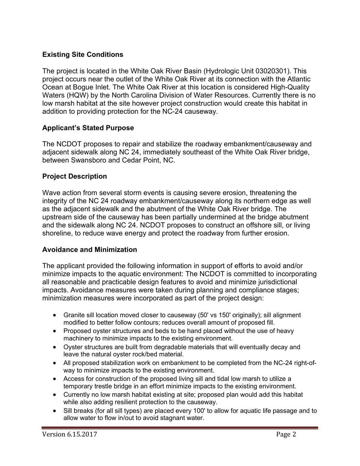## **Existing Site Conditions**

The project is located in the White Oak River Basin (Hydrologic Unit 03020301). This project occurs near the outlet of the White Oak River at its connection with the Atlantic Ocean at Bogue Inlet. The White Oak River at this location is considered High-Quality Waters (HQW) by the North Carolina Division of Water Resources. Currently there is no low marsh habitat at the site however project construction would create this habitat in addition to providing protection for the NC-24 causeway.

## **Applicant's Stated Purpose**

The NCDOT proposes to repair and stabilize the roadway embankment/causeway and adjacent sidewalk along NC 24, immediately southeast of the White Oak River bridge, between Swansboro and Cedar Point, NC.

#### **Project Description**

Wave action from several storm events is causing severe erosion, threatening the integrity of the NC 24 roadway embankment/causeway along its northern edge as well as the adjacent sidewalk and the abutment of the White Oak River bridge. The upstream side of the causeway has been partially undermined at the bridge abutment and the sidewalk along NC 24. NCDOT proposes to construct an offshore sill, or living shoreline, to reduce wave energy and protect the roadway from further erosion.

#### **Avoidance and Minimization**

The applicant provided the following information in support of efforts to avoid and/or minimize impacts to the aquatic environment: The NCDOT is committed to incorporating all reasonable and practicable design features to avoid and minimize jurisdictional impacts. Avoidance measures were taken during planning and compliance stages; minimization measures were incorporated as part of the project design:

- Granite sill location moved closer to causeway (50' vs 150' originally); sill alignment modified to better follow contours; reduces overall amount of proposed fill.
- Proposed ovster structures and beds to be hand placed without the use of heavy machinery to minimize impacts to the existing environment.
- Oyster structures are built from degradable materials that will eventually decay and leave the natural oyster rock/bed material.
- All proposed stabilization work on embankment to be completed from the NC-24 right-ofway to minimize impacts to the existing environment.
- Access for construction of the proposed living sill and tidal low marsh to utilize a temporary trestle bridge in an effort minimize impacts to the existing environment.
- Currently no low marsh habitat existing at site; proposed plan would add this habitat while also adding resilient protection to the causeway.
- Sill breaks (for all sill types) are placed every 100' to allow for aquatic life passage and to allow water to flow in/out to avoid stagnant water.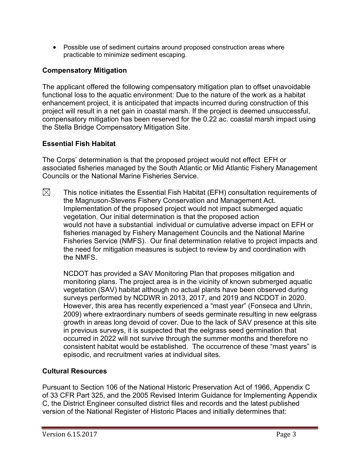• Possible use of sediment curtains around proposed construction areas where practicable to minimize sediment escaping.

# **Compensatory Mitigation**

The applicant offered the following compensatory mitigation plan to offset unavoidable functional loss to the aquatic environment: Due to the nature of the work as a habitat enhancement project, it is anticipated that impacts incurred during construction of this project will result in a net gain in coastal marsh. If the project is deemed unsuccessful, compensatory mitigation has been reserved for the 0.22 ac. coastal marsh impact using the Stella Bridge Compensatory Mitigation Site.

# **Essential Fish Habitat**

The Corps' determination is that the proposed project would not effect EFH or associated fisheries managed by the South Atlantic or Mid Atlantic Fishery Management Councils or the National Marine Fisheries Service.

 $\boxtimes$ This notice initiates the Essential Fish Habitat (EFH) consultation requirements of the Magnuson-Stevens Fishery Conservation and Management Act. Implementation of the proposed project would not impact submerged aquatic vegetation. Our initial determination is that the proposed action would not have a substantial individual or cumulative adverse impact on EFH or fisheries managed by Fishery Management Councils and the National Marine Fisheries Service (NMFS). Our final determination relative to project impacts and the need for mitigation measures is subject to review by and coordination with the NMFS.

NCDOT has provided a SAV Monitoring Plan that proposes mitigation and monitoring plans. The project area is in the vicinity of known submerged aquatic vegetation (SAV) habitat although no actual plants have been observed during surveys performed by NCDWR in 2013, 2017, and 2019 and NCDOT in 2020. However, this area has recently experienced a "mast year" (Fonseca and Uhrin, 2009) where extraordinary numbers of seeds germinate resulting in new eelgrass growth in areas long devoid of cover. Due to the lack of SAV presence at this site in previous surveys, it is suspected that the eelgrass seed germination that occurred in 2022 will not survive through the summer months and therefore no consistent habitat would be established. The occurrence of these "mast years" is episodic, and recruitment varies at individual sites.

## **Cultural Resources**

Pursuant to Section 106 of the National Historic Preservation Act of 1966, Appendix C of 33 CFR Part 325, and the 2005 Revised Interim Guidance for Implementing Appendix C, the District Engineer consulted district files and records and the latest published version of the National Register of Historic Places and initially determines that: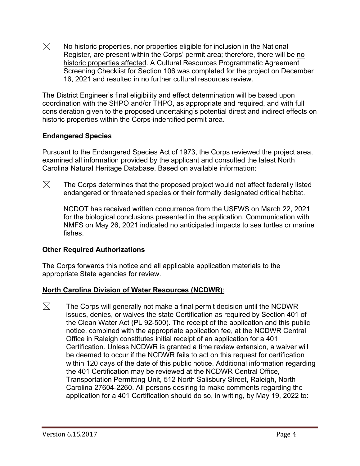$\boxtimes$ No historic properties, nor properties eligible for inclusion in the National Register, are present within the Corps' permit area; therefore, there will be no historic properties affected. A Cultural Resources Programmatic Agreement Screening Checklist for Section 106 was completed for the project on December 16, 2021 and resulted in no further cultural resources review.

The District Engineer's final eligibility and effect determination will be based upon coordination with the SHPO and/or THPO, as appropriate and required, and with full consideration given to the proposed undertaking's potential direct and indirect effects on historic properties within the Corps-indentified permit area.

## **Endangered Species**

Pursuant to the Endangered Species Act of 1973, the Corps reviewed the project area, examined all information provided by the applicant and consulted the latest North Carolina Natural Heritage Database. Based on available information:

 $\boxtimes$  The Corps determines that the proposed project would not affect federally listed endangered or threatened species or their formally designated critical habitat.

NCDOT has received written concurrence from the USFWS on March 22, 2021 for the biological conclusions presented in the application. Communication with NMFS on May 26, 2021 indicated no anticipated impacts to sea turtles or marine fishes.

## **Other Required Authorizations**

The Corps forwards this notice and all applicable application materials to the appropriate State agencies for review.

# **North Carolina Division of Water Resources (NCDWR)**:

 $\boxtimes$  The Corps will generally not make a final permit decision until the NCDWR issues, denies, or waives the state Certification as required by Section 401 of the Clean Water Act (PL 92-500). The receipt of the application and this public notice, combined with the appropriate application fee, at the NCDWR Central Office in Raleigh constitutes initial receipt of an application for a 401 Certification. Unless NCDWR is granted a time review extension, a waiver will be deemed to occur if the NCDWR fails to act on this request for certification within 120 days of the date of this public notice. Additional information regarding the 401 Certification may be reviewed at the NCDWR Central Office, Transportation Permitting Unit, 512 North Salisbury Street, Raleigh, North Carolina 27604-2260. All persons desiring to make comments regarding the application for a 401 Certification should do so, in writing, by May 19, 2022 to: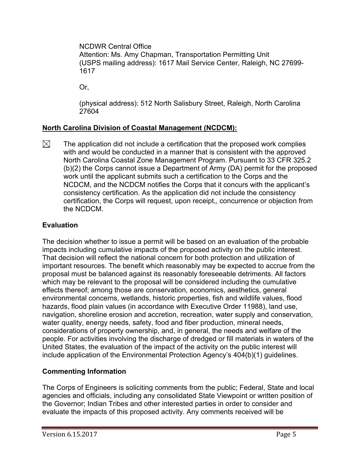NCDWR Central Office Attention: Ms. Amy Chapman, Transportation Permitting Unit (USPS mailing address): 1617 Mail Service Center, Raleigh, NC 27699- 1617

Or,

(physical address): 512 North Salisbury Street, Raleigh, North Carolina 27604

# **North Carolina Division of Coastal Management (NCDCM):**

 $\boxtimes$ The application did not include a certification that the proposed work complies with and would be conducted in a manner that is consistent with the approved North Carolina Coastal Zone Management Program. Pursuant to 33 CFR 325.2 (b)(2) the Corps cannot issue a Department of Army (DA) permit for the proposed work until the applicant submits such a certification to the Corps and the NCDCM, and the NCDCM notifies the Corps that it concurs with the applicant's consistency certification. As the application did not include the consistency certification, the Corps will request, upon receipt,, concurrence or objection from the NCDCM.

# **Evaluation**

The decision whether to issue a permit will be based on an evaluation of the probable impacts including cumulative impacts of the proposed activity on the public interest. That decision will reflect the national concern for both protection and utilization of important resources. The benefit which reasonably may be expected to accrue from the proposal must be balanced against its reasonably foreseeable detriments. All factors which may be relevant to the proposal will be considered including the cumulative effects thereof; among those are conservation, economics, aesthetics, general environmental concerns, wetlands, historic properties, fish and wildlife values, flood hazards, flood plain values (in accordance with Executive Order 11988), land use, navigation, shoreline erosion and accretion, recreation, water supply and conservation, water quality, energy needs, safety, food and fiber production, mineral needs, considerations of property ownership, and, in general, the needs and welfare of the people. For activities involving the discharge of dredged or fill materials in waters of the United States, the evaluation of the impact of the activity on the public interest will include application of the Environmental Protection Agency's 404(b)(1) guidelines.

# **Commenting Information**

The Corps of Engineers is soliciting comments from the public; Federal, State and local agencies and officials, including any consolidated State Viewpoint or written position of the Governor; Indian Tribes and other interested parties in order to consider and evaluate the impacts of this proposed activity. Any comments received will be